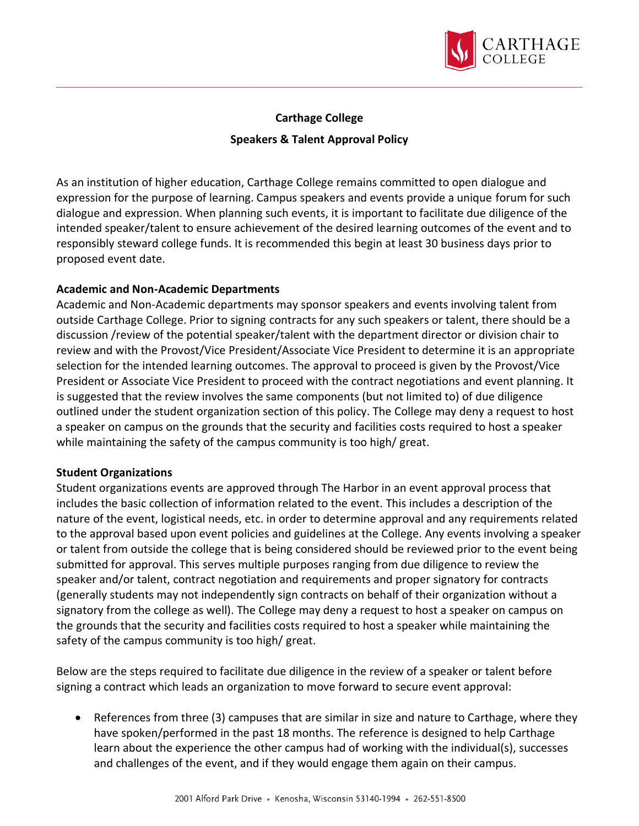

## **Carthage College Speakers & Talent Approval Policy**

As an institution of higher education, Carthage College remains committed to open dialogue and expression for the purpose of learning. Campus speakers and events provide a unique forum for such dialogue and expression. When planning such events, it is important to facilitate due diligence of the intended speaker/talent to ensure achievement of the desired learning outcomes of the event and to responsibly steward college funds. It is recommended this begin at least 30 business days prior to proposed event date.

## **Academic and Non-Academic Departments**

Academic and Non-Academic departments may sponsor speakers and events involving talent from outside Carthage College. Prior to signing contracts for any such speakers or talent, there should be a discussion /review of the potential speaker/talent with the department director or division chair to review and with the Provost/Vice President/Associate Vice President to determine it is an appropriate selection for the intended learning outcomes. The approval to proceed is given by the Provost/Vice President or Associate Vice President to proceed with the contract negotiations and event planning. It is suggested that the review involves the same components (but not limited to) of due diligence outlined under the student organization section of this policy. The College may deny a request to host a speaker on campus on the grounds that the security and facilities costs required to host a speaker while maintaining the safety of the campus community is too high/ great.

## **Student Organizations**

Student organizations events are approved through The Harbor in an event approval process that includes the basic collection of information related to the event. This includes a description of the nature of the event, logistical needs, etc. in order to determine approval and any requirements related to the approval based upon event policies and guidelines at the College. Any events involving a speaker or talent from outside the college that is being considered should be reviewed prior to the event being submitted for approval. This serves multiple purposes ranging from due diligence to review the speaker and/or talent, contract negotiation and requirements and proper signatory for contracts (generally students may not independently sign contracts on behalf of their organization without a signatory from the college as well). The College may deny a request to host a speaker on campus on the grounds that the security and facilities costs required to host a speaker while maintaining the safety of the campus community is too high/ great.

Below are the steps required to facilitate due diligence in the review of a speaker or talent before signing a contract which leads an organization to move forward to secure event approval:

• References from three (3) campuses that are similar in size and nature to Carthage, where they have spoken/performed in the past 18 months. The reference is designed to help Carthage learn about the experience the other campus had of working with the individual(s), successes and challenges of the event, and if they would engage them again on their campus.